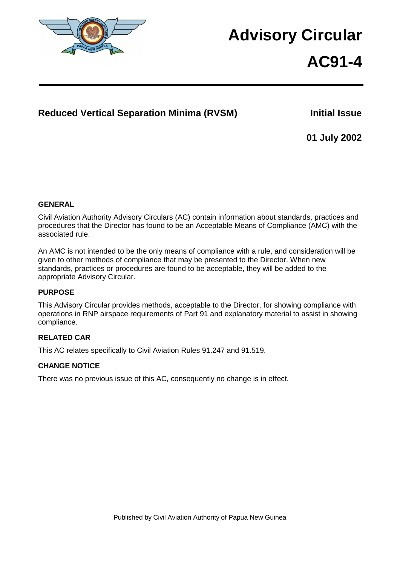

# **Advisory Circular**

# **AC91-4**

## Reduced Vertical Separation Minima (RVSM) **Initial Issue**

**01 July 2002** 

#### **GENERAL**

Civil Aviation Authority Advisory Circulars (AC) contain information about standards, practices and procedures that the Director has found to be an Acceptable Means of Compliance (AMC) with the associated rule.

An AMC is not intended to be the only means of compliance with a rule, and consideration will be given to other methods of compliance that may be presented to the Director. When new standards, practices or procedures are found to be acceptable, they will be added to the appropriate Advisory Circular.

#### **PURPOSE**

This Advisory Circular provides methods, acceptable to the Director, for showing compliance with operations in RNP airspace requirements of Part 91 and explanatory material to assist in showing compliance.

#### **RELATED CAR**

This AC relates specifically to Civil Aviation Rules 91.247 and 91.519.

#### **CHANGE NOTICE**

There was no previous issue of this AC, consequently no change is in effect.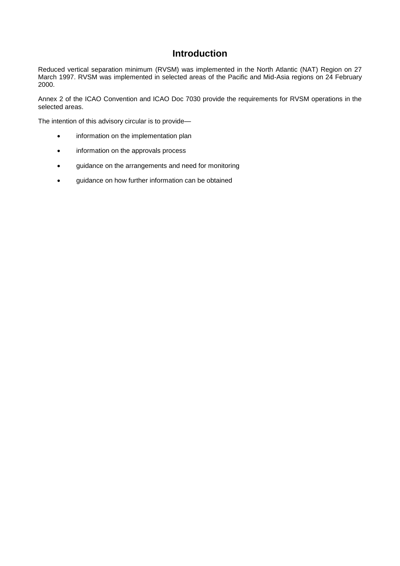### **Introduction**

Reduced vertical separation minimum (RVSM) was implemented in the North Atlantic (NAT) Region on 27 March 1997. RVSM was implemented in selected areas of the Pacific and Mid-Asia regions on 24 February 2000.

Annex 2 of the ICAO Convention and ICAO Doc 7030 provide the requirements for RVSM operations in the selected areas.

The intention of this advisory circular is to provide—

- **•** information on the implementation plan
- information on the approvals process
- guidance on the arrangements and need for monitoring
- **•** guidance on how further information can be obtained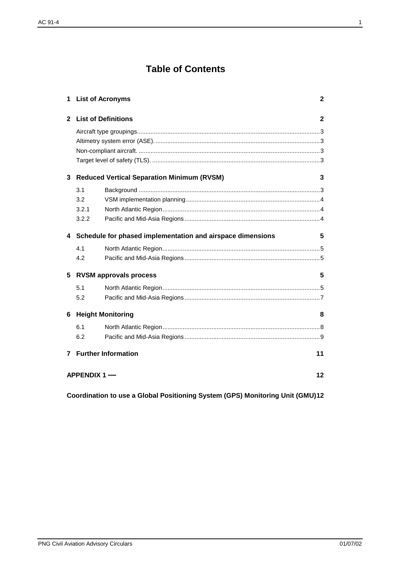## **Table of Contents**

| 1                    | <b>List of Acronyms</b><br>$\mathbf{2}$                           |  |  |  |  |  |
|----------------------|-------------------------------------------------------------------|--|--|--|--|--|
| $\mathbf{2}$         | <b>List of Definitions</b>                                        |  |  |  |  |  |
|                      |                                                                   |  |  |  |  |  |
| 3                    | <b>Reduced Vertical Separation Minimum (RVSM)</b>                 |  |  |  |  |  |
|                      | 3.1                                                               |  |  |  |  |  |
|                      | 3.2                                                               |  |  |  |  |  |
|                      | 3.2.1                                                             |  |  |  |  |  |
|                      | 3.2.2                                                             |  |  |  |  |  |
|                      | 4 Schedule for phased implementation and airspace dimensions<br>5 |  |  |  |  |  |
|                      | 4.1                                                               |  |  |  |  |  |
|                      | 4.2                                                               |  |  |  |  |  |
| 5                    | <b>RVSM approvals process</b><br>5                                |  |  |  |  |  |
|                      | 5.1                                                               |  |  |  |  |  |
|                      | 5.2                                                               |  |  |  |  |  |
| 6                    | <b>Height Monitoring</b><br>8                                     |  |  |  |  |  |
|                      | 6.1                                                               |  |  |  |  |  |
|                      | 6.2                                                               |  |  |  |  |  |
|                      | <b>7</b> Further Information<br>11                                |  |  |  |  |  |
| APPENDIX $1$ —<br>12 |                                                                   |  |  |  |  |  |

**Coordination to use a Global Positioning System (GPS) Monitoring Unit (GMU)12**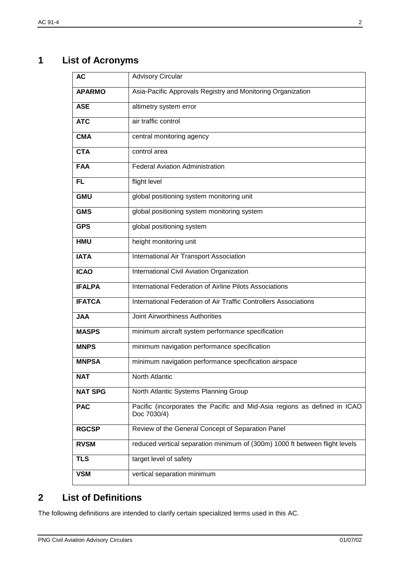# **1 List of Acronyms**

| <b>AC</b>      | <b>Advisory Circular</b>                                                                 |
|----------------|------------------------------------------------------------------------------------------|
| <b>APARMO</b>  | Asia-Pacific Approvals Registry and Monitoring Organization                              |
| <b>ASE</b>     | altimetry system error                                                                   |
| <b>ATC</b>     | air traffic control                                                                      |
| <b>CMA</b>     | central monitoring agency                                                                |
| <b>CTA</b>     | control area                                                                             |
| <b>FAA</b>     | <b>Federal Aviation Administration</b>                                                   |
| FL             | flight level                                                                             |
| <b>GMU</b>     | global positioning system monitoring unit                                                |
| <b>GMS</b>     | global positioning system monitoring system                                              |
| <b>GPS</b>     | global positioning system                                                                |
| <b>HMU</b>     | height monitoring unit                                                                   |
| <b>IATA</b>    | International Air Transport Association                                                  |
| <b>ICAO</b>    | International Civil Aviation Organization                                                |
| <b>IFALPA</b>  | International Federation of Airline Pilots Associations                                  |
| <b>IFATCA</b>  | International Federation of Air Traffic Controllers Associations                         |
| <b>JAA</b>     | Joint Airworthiness Authorities                                                          |
| <b>MASPS</b>   | minimum aircraft system performance specification                                        |
| <b>MNPS</b>    | minimum navigation performance specification                                             |
| <b>MNPSA</b>   | minimum navigation performance specification airspace                                    |
| <b>NAT</b>     | North Atlantic                                                                           |
| <b>NAT SPG</b> | North Atlantic Systems Planning Group                                                    |
| <b>PAC</b>     | Pacific (incorporates the Pacific and Mid-Asia regions as defined in ICAO<br>Doc 7030/4) |
| <b>RGCSP</b>   | Review of the General Concept of Separation Panel                                        |
| <b>RVSM</b>    | reduced vertical separation minimum of (300m) 1000 ft between flight levels              |
| <b>TLS</b>     | target level of safety                                                                   |
| <b>VSM</b>     | vertical separation minimum                                                              |

## **2 List of Definitions**

The following definitions are intended to clarify certain specialized terms used in this AC.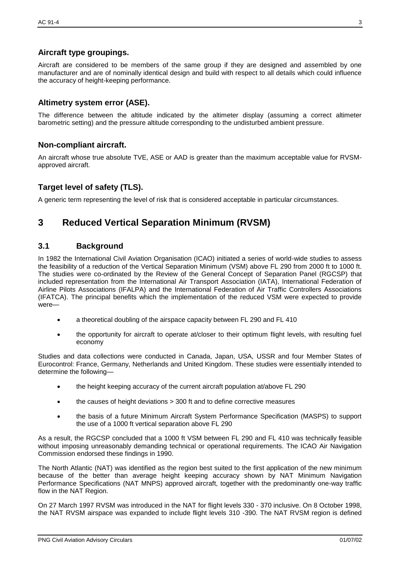#### **Aircraft type groupings.**

Aircraft are considered to be members of the same group if they are designed and assembled by one manufacturer and are of nominally identical design and build with respect to all details which could influence the accuracy of height-keeping performance.

#### **Altimetry system error (ASE).**

The difference between the altitude indicated by the altimeter display (assuming a correct altimeter barometric setting) and the pressure altitude corresponding to the undisturbed ambient pressure.

#### **Non-compliant aircraft.**

An aircraft whose true absolute TVE, ASE or AAD is greater than the maximum acceptable value for RVSMapproved aircraft.

#### **Target level of safety (TLS).**

A generic term representing the level of risk that is considered acceptable in particular circumstances.

## **3 Reduced Vertical Separation Minimum (RVSM)**

#### **3.1 Background**

In 1982 the International Civil Aviation Organisation (ICAO) initiated a series of world-wide studies to assess the feasibility of a reduction of the Vertical Separation Minimum (VSM) above FL 290 from 2000 ft to 1000 ft. The studies were co-ordinated by the Review of the General Concept of Separation Panel (RGCSP) that included representation from the International Air Transport Association (IATA), International Federation of Airline Pilots Associations (IFALPA) and the International Federation of Air Traffic Controllers Associations (IFATCA). The principal benefits which the implementation of the reduced VSM were expected to provide were—

- a theoretical doubling of the airspace capacity between FL 290 and FL 410
- the opportunity for aircraft to operate at/closer to their optimum flight levels, with resulting fuel economy

Studies and data collections were conducted in Canada, Japan, USA, USSR and four Member States of Eurocontrol: France, Germany, Netherlands and United Kingdom. These studies were essentially intended to determine the following—

- the height keeping accuracy of the current aircraft population at/above FL 290
- the causes of height deviations > 300 ft and to define corrective measures
- the basis of a future Minimum Aircraft System Performance Specification (MASPS) to support the use of a 1000 ft vertical separation above FL 290

As a result, the RGCSP concluded that a 1000 ft VSM between FL 290 and FL 410 was technically feasible without imposing unreasonably demanding technical or operational requirements. The ICAO Air Navigation Commission endorsed these findings in 1990.

The North Atlantic (NAT) was identified as the region best suited to the first application of the new minimum because of the better than average height keeping accuracy shown by NAT Minimum Navigation Performance Specifications (NAT MNPS) approved aircraft, together with the predominantly one-way traffic flow in the NAT Region.

On 27 March 1997 RVSM was introduced in the NAT for flight levels 330 - 370 inclusive. On 8 October 1998, the NAT RVSM airspace was expanded to include flight levels 310 -390. The NAT RVSM region is defined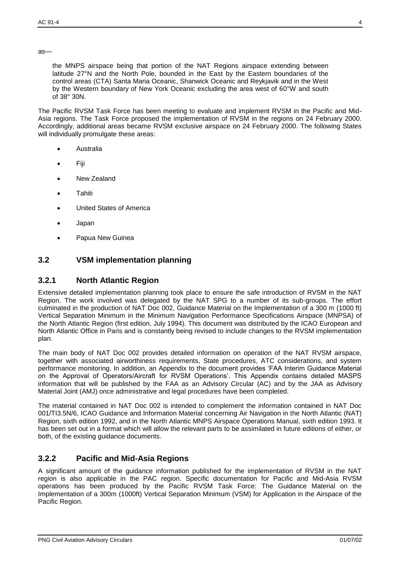as—

the MNPS airspace being that portion of the NAT Regions airspace extending between latitude 27°N and the North Pole, bounded in the East by the Eastern boundaries of the control areas (CTA) Santa Maria Oceanic, Shanwick Oceanic and Reykjavik and in the West by the Western boundary of New York Oceanic excluding the area west of 60°W and south of 38° 30N.

The Pacific RVSM Task Force has been meeting to evaluate and implement RVSM in the Pacific and Mid-Asia regions. The Task Force proposed the implementation of RVSM in the regions on 24 February 2000. Accordingly, additional areas became RVSM exclusive airspace on 24 February 2000. The following States will individually promulgate these areas:

- Australia
- Fiji
- New Zealand
- **Tahiti**
- United States of America
- Japan
- Papua New Guinea

#### **3.2 VSM implementation planning**

#### **3.2.1 North Atlantic Region**

Extensive detailed implementation planning took place to ensure the safe introduction of RVSM in the NAT Region. The work involved was delegated by the NAT SPG to a number of its sub-groups. The effort culminated in the production of NAT Doc 002, Guidance Material on the Implementation of a 300 m (1000 ft) Vertical Separation Minimum in the Minimum Navigation Performance Specifications Airspace (MNPSA) of the North Atlantic Region (first edition, July 1994). This document was distributed by the ICAO European and North Atlantic Office in Paris and is constantly being revised to include changes to the RVSM implementation plan.

The main body of NAT Doc 002 provides detailed information on operation of the NAT RVSM airspace, together with associated airworthiness requirements, State procedures, ATC considerations, and system performance monitoring. In addition, an Appendix to the document provides 'FAA Interim Guidance Material on the Approval of Operators/Aircraft for RVSM Operations'. This Appendix contains detailed MASPS information that will be published by the FAA as an Advisory Circular (AC) and by the JAA as Advisory Material Joint (AMJ) once administrative and legal procedures have been completed.

The material contained in NAT Doc 002 is intended to complement the information contained in NAT Doc 001/TI3.5N/6, ICAO Guidance and Information Material concerning Air Navigation in the North Atlantic (NAT) Region, sixth edition 1992, and in the North Atlantic MNPS Airspace Operations Manual, sixth edition 1993. It has been set out in a format which will allow the relevant parts to be assimilated in future editions of either, or both, of the existing guidance documents.

#### **3.2.2 Pacific and Mid-Asia Regions**

A significant amount of the guidance information published for the implementation of RVSM in the NAT region is also applicable in the PAC region. Specific documentation for Pacific and Mid-Asia RVSM operations has been produced by the Pacific RVSM Task Force: The Guidance Material on the Implementation of a 300m (1000ft) Vertical Separation Minimum (VSM) for Application in the Airspace of the Pacific Region.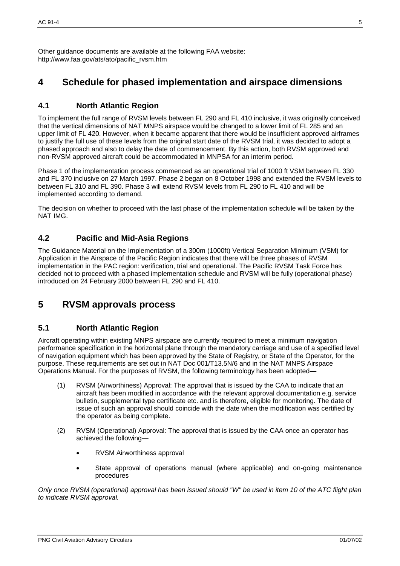Other guidance documents are available at the following FAA website: http://www.faa.gov/ats/ato/pacific\_rvsm.htm

## **4 Schedule for phased implementation and airspace dimensions**

#### **4.1 North Atlantic Region**

To implement the full range of RVSM levels between FL 290 and FL 410 inclusive, it was originally conceived that the vertical dimensions of NAT MNPS airspace would be changed to a lower limit of FL 285 and an upper limit of FL 420. However, when it became apparent that there would be insufficient approved airframes to justify the full use of these levels from the original start date of the RVSM trial, it was decided to adopt a phased approach and also to delay the date of commencement. By this action, both RVSM approved and non-RVSM approved aircraft could be accommodated in MNPSA for an interim period.

Phase 1 of the implementation process commenced as an operational trial of 1000 ft VSM between FL 330 and FL 370 inclusive on 27 March 1997. Phase 2 began on 8 October 1998 and extended the RVSM levels to between FL 310 and FL 390. Phase 3 will extend RVSM levels from FL 290 to FL 410 and will be implemented according to demand.

The decision on whether to proceed with the last phase of the implementation schedule will be taken by the NAT IMG.

#### **4.2 Pacific and Mid-Asia Regions**

The Guidance Material on the Implementation of a 300m (1000ft) Vertical Separation Minimum (VSM) for Application in the Airspace of the Pacific Region indicates that there will be three phases of RVSM implementation in the PAC region: verification, trial and operational. The Pacific RVSM Task Force has decided not to proceed with a phased implementation schedule and RVSM will be fully (operational phase) introduced on 24 February 2000 between FL 290 and FL 410.

## **5 RVSM approvals process**

#### **5.1 North Atlantic Region**

Aircraft operating within existing MNPS airspace are currently required to meet a minimum navigation performance specification in the horizontal plane through the mandatory carriage and use of a specified level of navigation equipment which has been approved by the State of Registry, or State of the Operator, for the purpose. These requirements are set out in NAT Doc 001/T13.5N/6 and in the NAT MNPS Airspace Operations Manual. For the purposes of RVSM, the following terminology has been adopted—

- (1) RVSM (Airworthiness) Approval: The approval that is issued by the CAA to indicate that an aircraft has been modified in accordance with the relevant approval documentation e.g. service bulletin, supplemental type certificate etc. and is therefore, eligible for monitoring. The date of issue of such an approval should coincide with the date when the modification was certified by the operator as being complete.
- (2) RVSM (Operational) Approval: The approval that is issued by the CAA once an operator has achieved the following—
	- RVSM Airworthiness approval
	- State approval of operations manual (where applicable) and on-going maintenance procedures

*Only once RVSM (operational) approval has been issued should "W" be used in item 10 of the ATC flight plan to indicate RVSM approval.*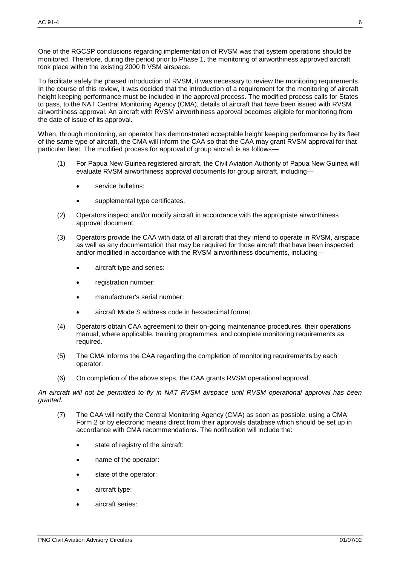One of the RGCSP conclusions regarding implementation of RVSM was that system operations should be monitored. Therefore, during the period prior to Phase 1, the monitoring of airworthiness approved aircraft took place within the existing 2000 ft VSM airspace.

To facilitate safely the phased introduction of RVSM, it was necessary to review the monitoring requirements. In the course of this review, it was decided that the introduction of a requirement for the monitoring of aircraft height keeping performance must be included in the approval process. The modified process calls for States to pass, to the NAT Central Monitoring Agency (CMA), details of aircraft that have been issued with RVSM airworthiness approval. An aircraft with RVSM airworthiness approval becomes eligible for monitoring from the date of issue of its approval.

When, through monitoring, an operator has demonstrated acceptable height keeping performance by its fleet of the same type of aircraft, the CMA will inform the CAA so that the CAA may grant RVSM approval for that particular fleet. The modified process for approval of group aircraft is as follows—

- (1) For Papua New Guinea registered aircraft, the Civil Aviation Authority of Papua New Guinea will evaluate RVSM airworthiness approval documents for group aircraft, including
	- service bulletins:
	- supplemental type certificates.
- (2) Operators inspect and/or modify aircraft in accordance with the appropriate airworthiness approval document.
- (3) Operators provide the CAA with data of all aircraft that they intend to operate in RVSM, airspace as well as any documentation that may be required for those aircraft that have been inspected and/or modified in accordance with the RVSM airworthiness documents, including
	- aircraft type and series:
	- registration number:
	- manufacturer's serial number:
	- aircraft Mode S address code in hexadecimal format.
- (4) Operators obtain CAA agreement to their on-going maintenance procedures, their operations manual, where applicable, training programmes, and complete monitoring requirements as required.
- (5) The CMA informs the CAA regarding the completion of monitoring requirements by each operator.
- (6) On completion of the above steps, the CAA grants RVSM operational approval.

*An aircraft will not be permitted to fly in NAT RVSM airspace until RVSM operational approval has been granted.*

- (7) The CAA will notify the Central Monitoring Agency (CMA) as soon as possible, using a CMA Form 2 or by electronic means direct from their approvals database which should be set up in accordance with CMA recommendations. The notification will include the:
	- state of registry of the aircraft:
	- name of the operator:
	- state of the operator:
	- aircraft type:
	- aircraft series: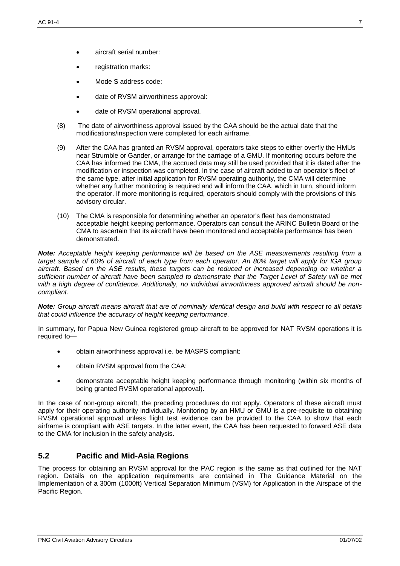- aircraft serial number:
- registration marks:
- Mode S address code:
- date of RVSM airworthiness approval:
- date of RVSM operational approval.
- (8) The date of airworthiness approval issued by the CAA should be the actual date that the modifications/inspection were completed for each airframe.
- (9) After the CAA has granted an RVSM approval, operators take steps to either overfly the HMUs near Strumble or Gander, or arrange for the carriage of a GMU. If monitoring occurs before the CAA has informed the CMA, the accrued data may still be used provided that it is dated after the modification or inspection was completed. In the case of aircraft added to an operator's fleet of the same type, after initial application for RVSM operating authority, the CMA will determine whether any further monitoring is required and will inform the CAA, which in turn, should inform the operator. If more monitoring is required, operators should comply with the provisions of this advisory circular.
- (10) The CMA is responsible for determining whether an operator's fleet has demonstrated acceptable height keeping performance. Operators can consult the ARINC Bulletin Board or the CMA to ascertain that its aircraft have been monitored and acceptable performance has been demonstrated.

*Note: Acceptable height keeping performance will be based on the ASE measurements resulting from a target sample of 60% of aircraft of each type from each operator. An 80% target will apply for IGA group aircraft. Based on the ASE results, these targets can be reduced or increased depending on whether a sufficient number of aircraft have been sampled to demonstrate that the Target Level of Safety will be met with a high degree of confidence. Additionally, no individual airworthiness approved aircraft should be noncompliant.*

*Note: Group aircraft means aircraft that are of nominally identical design and build with respect to all details that could influence the accuracy of height keeping performance.*

In summary, for Papua New Guinea registered group aircraft to be approved for NAT RVSM operations it is required to—

- obtain airworthiness approval i.e. be MASPS compliant:
- obtain RVSM approval from the CAA:
- demonstrate acceptable height keeping performance through monitoring (within six months of being granted RVSM operational approval).

In the case of non-group aircraft, the preceding procedures do not apply. Operators of these aircraft must apply for their operating authority individually. Monitoring by an HMU or GMU is a pre-requisite to obtaining RVSM operational approval unless flight test evidence can be provided to the CAA to show that each airframe is compliant with ASE targets. In the latter event, the CAA has been requested to forward ASE data to the CMA for inclusion in the safety analysis.

#### **5.2 Pacific and Mid-Asia Regions**

The process for obtaining an RVSM approval for the PAC region is the same as that outlined for the NAT region. Details on the application requirements are contained in The Guidance Material on the Implementation of a 300m (1000ft) Vertical Separation Minimum (VSM) for Application in the Airspace of the Pacific Region.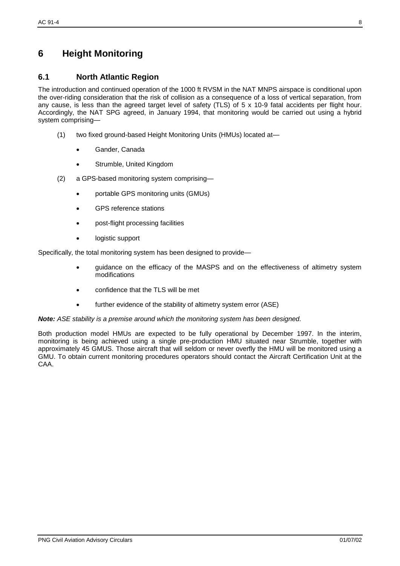## **6 Height Monitoring**

#### **6.1 North Atlantic Region**

The introduction and continued operation of the 1000 ft RVSM in the NAT MNPS airspace is conditional upon the over-riding consideration that the risk of collision as a consequence of a loss of vertical separation, from any cause, is less than the agreed target level of safety (TLS) of 5 x 10-9 fatal accidents per flight hour. Accordingly, the NAT SPG agreed, in January 1994, that monitoring would be carried out using a hybrid system comprising—

- (1) two fixed ground-based Height Monitoring Units (HMUs) located at—
	- Gander, Canada
	- Strumble, United Kingdom
- (2) a GPS-based monitoring system comprising
	- portable GPS monitoring units (GMUs)
	- GPS reference stations
	- post-flight processing facilities
	- logistic support

Specifically, the total monitoring system has been designed to provide—

- guidance on the efficacy of the MASPS and on the effectiveness of altimetry system modifications
- confidence that the TLS will be met
- further evidence of the stability of altimetry system error (ASE)

#### *Note: ASE stability is a premise around which the monitoring system has been designed.*

Both production model HMUs are expected to be fully operational by December 1997. In the interim, monitoring is being achieved using a single pre-production HMU situated near Strumble, together with approximately 45 GMUS. Those aircraft that will seldom or never overfly the HMU will be monitored using a GMU. To obtain current monitoring procedures operators should contact the Aircraft Certification Unit at the CAA.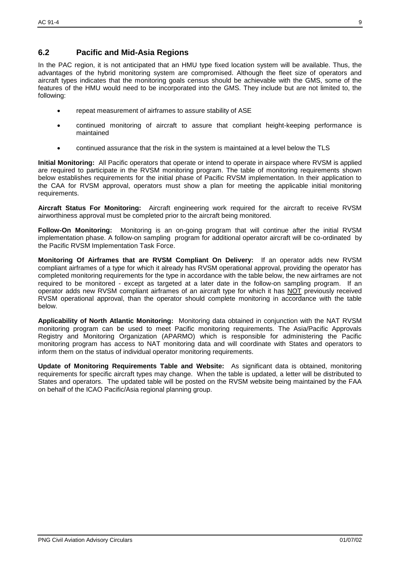#### **6.2 Pacific and Mid-Asia Regions**

In the PAC region, it is not anticipated that an HMU type fixed location system will be available. Thus, the advantages of the hybrid monitoring system are compromised. Although the fleet size of operators and aircraft types indicates that the monitoring goals census should be achievable with the GMS, some of the features of the HMU would need to be incorporated into the GMS. They include but are not limited to, the following:

- repeat measurement of airframes to assure stability of ASE
- continued monitoring of aircraft to assure that compliant height-keeping performance is maintained
- continued assurance that the risk in the system is maintained at a level below the TLS

**Initial Monitoring:** All Pacific operators that operate or intend to operate in airspace where RVSM is applied are required to participate in the RVSM monitoring program. The table of monitoring requirements shown below establishes requirements for the initial phase of Pacific RVSM implementation. In their application to the CAA for RVSM approval, operators must show a plan for meeting the applicable initial monitoring requirements.

**Aircraft Status For Monitoring:** Aircraft engineering work required for the aircraft to receive RVSM airworthiness approval must be completed prior to the aircraft being monitored.

**Follow-On Monitoring:** Monitoring is an on-going program that will continue after the initial RVSM implementation phase. A follow-on sampling program for additional operator aircraft will be co-ordinated by the Pacific RVSM Implementation Task Force.

**Monitoring Of Airframes that are RVSM Compliant On Delivery:** If an operator adds new RVSM compliant airframes of a type for which it already has RVSM operational approval, providing the operator has completed monitoring requirements for the type in accordance with the table below, the new airframes are not required to be monitored - except as targeted at a later date in the follow-on sampling program. If an operator adds new RVSM compliant airframes of an aircraft type for which it has NOT previously received RVSM operational approval, than the operator should complete monitoring in accordance with the table below.

**Applicability of North Atlantic Monitoring:** Monitoring data obtained in conjunction with the NAT RVSM monitoring program can be used to meet Pacific monitoring requirements. The Asia/Pacific Approvals Registry and Monitoring Organization (APARMO) which is responsible for administering the Pacific monitoring program has access to NAT monitoring data and will coordinate with States and operators to inform them on the status of individual operator monitoring requirements.

**Update of Monitoring Requirements Table and Website:** As significant data is obtained, monitoring requirements for specific aircraft types may change. When the table is updated, a letter will be distributed to States and operators. The updated table will be posted on the RVSM website being maintained by the FAA on behalf of the ICAO Pacific/Asia regional planning group.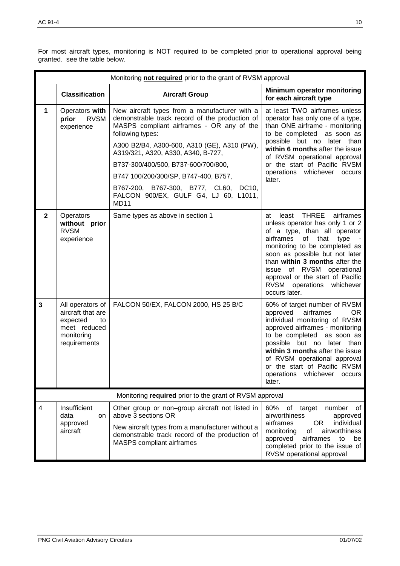| Monitoring not required prior to the grant of RVSM approval |                                                                                                       |                                                                                                                                                                                                           |                                                                                                                                                                                                                                                                                                                                                                |  |  |  |
|-------------------------------------------------------------|-------------------------------------------------------------------------------------------------------|-----------------------------------------------------------------------------------------------------------------------------------------------------------------------------------------------------------|----------------------------------------------------------------------------------------------------------------------------------------------------------------------------------------------------------------------------------------------------------------------------------------------------------------------------------------------------------------|--|--|--|
|                                                             | <b>Classification</b>                                                                                 | <b>Aircraft Group</b>                                                                                                                                                                                     | Minimum operator monitoring<br>for each aircraft type                                                                                                                                                                                                                                                                                                          |  |  |  |
| 1                                                           | Operators with<br>prior<br><b>RVSM</b><br>experience                                                  | New aircraft types from a manufacturer with a<br>demonstrable track record of the production of<br>MASPS compliant airframes - OR any of the<br>following types:                                          | at least TWO airframes unless<br>operator has only one of a type,<br>than ONE airframe - monitoring<br>to be completed as soon as<br>possible but no later than<br>within 6 months after the issue<br>of RVSM operational approval<br>or the start of Pacific RVSM<br>operations whichever<br>occurs<br>later.                                                 |  |  |  |
|                                                             |                                                                                                       | A300 B2/B4, A300-600, A310 (GE), A310 (PW),<br>A319/321, A320, A330, A340, B-727,                                                                                                                         |                                                                                                                                                                                                                                                                                                                                                                |  |  |  |
|                                                             |                                                                                                       | B737-300/400/500, B737-600/700/800,                                                                                                                                                                       |                                                                                                                                                                                                                                                                                                                                                                |  |  |  |
|                                                             |                                                                                                       | B747 100/200/300/SP, B747-400, B757,                                                                                                                                                                      |                                                                                                                                                                                                                                                                                                                                                                |  |  |  |
|                                                             |                                                                                                       | B767-200, B767-300, B777, CL60,<br>DC10,<br>FALCON 900/EX, GULF G4, LJ 60, L1011,<br><b>MD11</b>                                                                                                          |                                                                                                                                                                                                                                                                                                                                                                |  |  |  |
| $\mathbf{2}$                                                | Operators<br>without prior<br><b>RVSM</b><br>experience                                               | Same types as above in section 1                                                                                                                                                                          | THREE<br>airframes<br>least<br>at<br>unless operator has only 1 or 2<br>of a type, than all operator<br>airframes<br>that<br>type<br>of<br>monitoring to be completed as<br>soon as possible but not later<br>than within 3 months after the<br>issue of RVSM operational<br>approval or the start of Pacific<br>RVSM operations<br>whichever<br>occurs later. |  |  |  |
| $\mathbf{3}$                                                | All operators of<br>aircraft that are<br>expected<br>to<br>meet reduced<br>monitoring<br>requirements | FALCON 50/EX, FALCON 2000, HS 25 B/C                                                                                                                                                                      | 60% of target number of RVSM<br>airframes<br>approved<br>OR.<br>individual monitoring of RVSM<br>approved airframes - monitoring<br>to be completed as soon as<br>possible but no later than<br>within 3 months after the issue<br>of RVSM operational approval<br>or the start of Pacific RVSM<br>operations whichever occurs<br>later.                       |  |  |  |
|                                                             |                                                                                                       | Monitoring required prior to the grant of RVSM approval                                                                                                                                                   |                                                                                                                                                                                                                                                                                                                                                                |  |  |  |
| 4                                                           | Insufficient<br>data<br>on<br>approved<br>aircraft                                                    | Other group or non-group aircraft not listed in<br>above 3 sections OR<br>New aircraft types from a manufacturer without a<br>demonstrable track record of the production of<br>MASPS compliant airframes | 60%<br>of target<br>number<br>of<br>airworthiness<br>approved<br><b>OR</b><br>airframes<br>individual<br>of<br>airworthiness<br>monitoring<br>airframes<br>approved<br>to<br>be<br>completed prior to the issue of<br>RVSM operational approval                                                                                                                |  |  |  |

For most aircraft types, monitoring is NOT required to be completed prior to operational approval being granted. see the table below.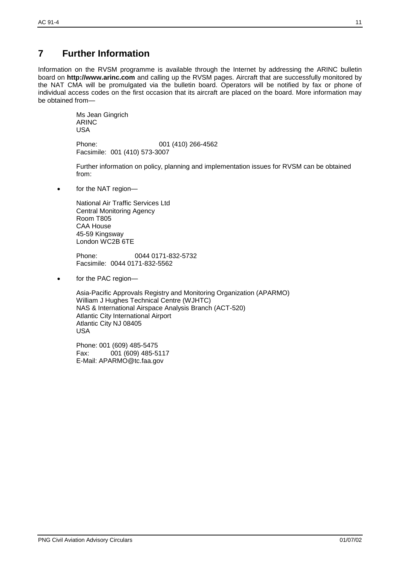## **7 Further Information**

Information on the RVSM programme is available through the Internet by addressing the ARINC bulletin board on **http://www.arinc.com** and calling up the RVSM pages. Aircraft that are successfully monitored by the NAT CMA will be promulgated via the bulletin board. Operators will be notified by fax or phone of individual access codes on the first occasion that its aircraft are placed on the board. More information may be obtained from—

> Ms Jean Gingrich ARINC USA

Phone: 001 (410) 266-4562 Facsimile: 001 (410) 573-3007

Further information on policy, planning and implementation issues for RVSM can be obtained from:

for the NAT region—

National Air Traffic Services Ltd Central Monitoring Agency Room T805 CAA House 45-59 Kingsway London WC2B 6TE

Phone: 0044 0171-832-5732 Facsimile: 0044 0171-832-5562

• for the PAC region-

Asia-Pacific Approvals Registry and Monitoring Organization (APARMO) William J Hughes Technical Centre (WJHTC) NAS & International Airspace Analysis Branch (ACT-520) Atlantic City International Airport Atlantic City NJ 08405 USA

Phone: 001 (609) 485-5475 Fax: 001 (609) 485-5117 E-Mail: [APARMO@tc.faa.gov](mailto:APARMO@tc.faa.gov)